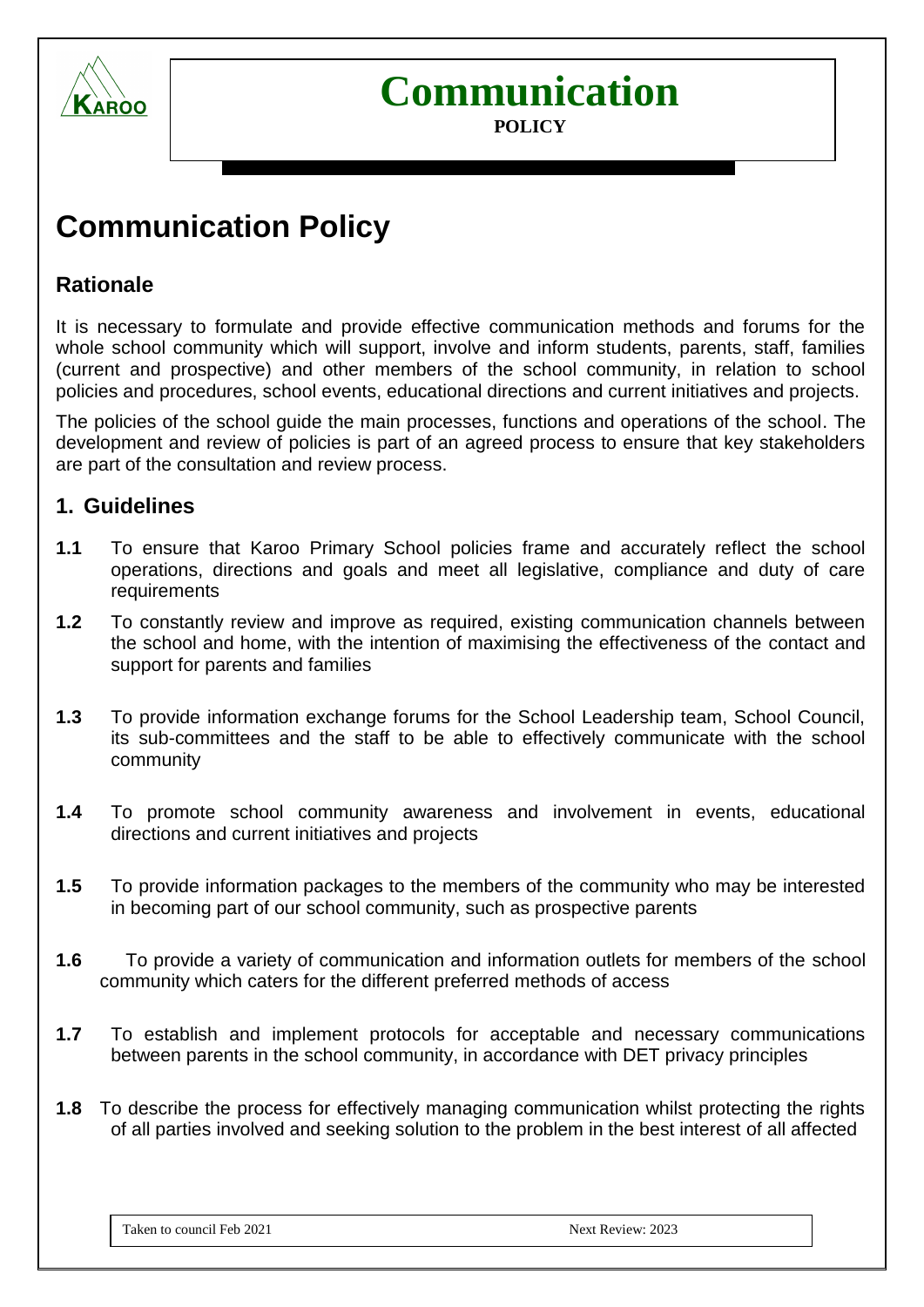

# **Communication**

#### **POLICY**

## **Communication Policy**

#### **Rationale**

It is necessary to formulate and provide effective communication methods and forums for the whole school community which will support, involve and inform students, parents, staff, families (current and prospective) and other members of the school community, in relation to school policies and procedures, school events, educational directions and current initiatives and projects.

The policies of the school guide the main processes, functions and operations of the school. The development and review of policies is part of an agreed process to ensure that key stakeholders are part of the consultation and review process.

#### **1. Guidelines**

- **1.1** To ensure that Karoo Primary School policies frame and accurately reflect the school operations, directions and goals and meet all legislative, compliance and duty of care requirements
- **1.2** To constantly review and improve as required, existing communication channels between the school and home, with the intention of maximising the effectiveness of the contact and support for parents and families
- **1.3** To provide information exchange forums for the School Leadership team, School Council, its sub-committees and the staff to be able to effectively communicate with the school community
- **1.4** To promote school community awareness and involvement in events, educational directions and current initiatives and projects
- **1.5** To provide information packages to the members of the community who may be interested in becoming part of our school community, such as prospective parents
- **1.6** To provide a variety of communication and information outlets for members of the school community which caters for the different preferred methods of access
- **1.7** To establish and implement protocols for acceptable and necessary communications between parents in the school community, in accordance with DET privacy principles
- **1.8** To describe the process for effectively managing communication whilst protecting the rights of all parties involved and seeking solution to the problem in the best interest of all affected

Taken to council Feb 2021 2023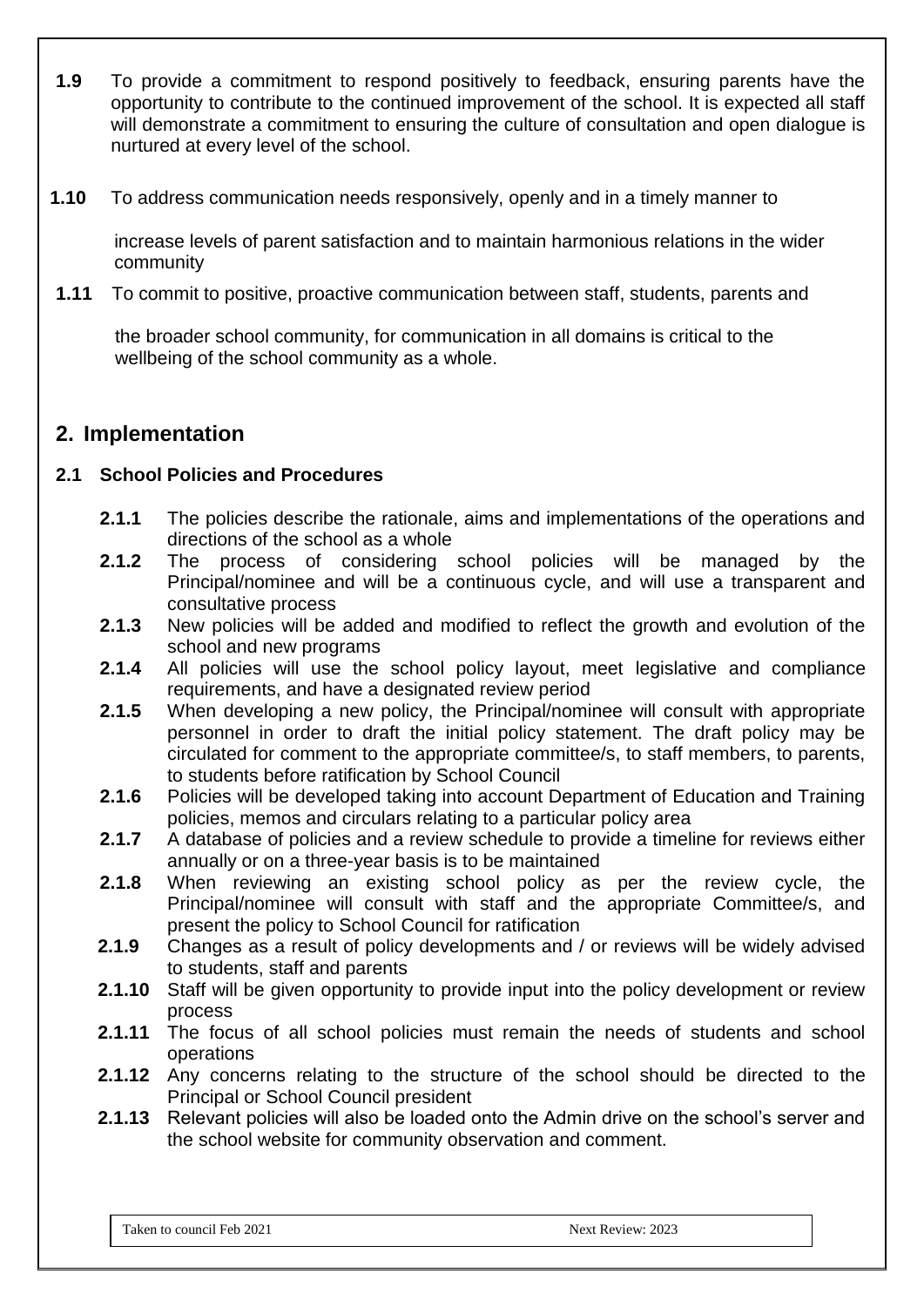- **1.9** To provide a commitment to respond positively to feedback, ensuring parents have the opportunity to contribute to the continued improvement of the school. It is expected all staff will demonstrate a commitment to ensuring the culture of consultation and open dialogue is nurtured at every level of the school.
- **1.10** To address communication needs responsively, openly and in a timely manner to

 increase levels of parent satisfaction and to maintain harmonious relations in the wider community

**1.11** To commit to positive, proactive communication between staff, students, parents and

 the broader school community, for communication in all domains is critical to the wellbeing of the school community as a whole.

#### **2. Implementation**

#### **2.1 School Policies and Procedures**

- **2.1.1** The policies describe the rationale, aims and implementations of the operations and directions of the school as a whole
- **2.1.2** The process of considering school policies will be managed by the Principal/nominee and will be a continuous cycle, and will use a transparent and consultative process
- **2.1.3** New policies will be added and modified to reflect the growth and evolution of the school and new programs
- **2.1.4** All policies will use the school policy layout, meet legislative and compliance requirements, and have a designated review period
- **2.1.5** When developing a new policy, the Principal/nominee will consult with appropriate personnel in order to draft the initial policy statement. The draft policy may be circulated for comment to the appropriate committee/s, to staff members, to parents, to students before ratification by School Council
- **2.1.6** Policies will be developed taking into account Department of Education and Training policies, memos and circulars relating to a particular policy area
- **2.1.7** A database of policies and a review schedule to provide a timeline for reviews either annually or on a three-year basis is to be maintained
- **2.1.8** When reviewing an existing school policy as per the review cycle, the Principal/nominee will consult with staff and the appropriate Committee/s, and present the policy to School Council for ratification
- **2.1.9** Changes as a result of policy developments and / or reviews will be widely advised to students, staff and parents
- **2.1.10** Staff will be given opportunity to provide input into the policy development or review process
- **2.1.11** The focus of all school policies must remain the needs of students and school operations
- **2.1.12** Any concerns relating to the structure of the school should be directed to the Principal or School Council president
- **2.1.13** Relevant policies will also be loaded onto the Admin drive on the school's server and the school website for community observation and comment.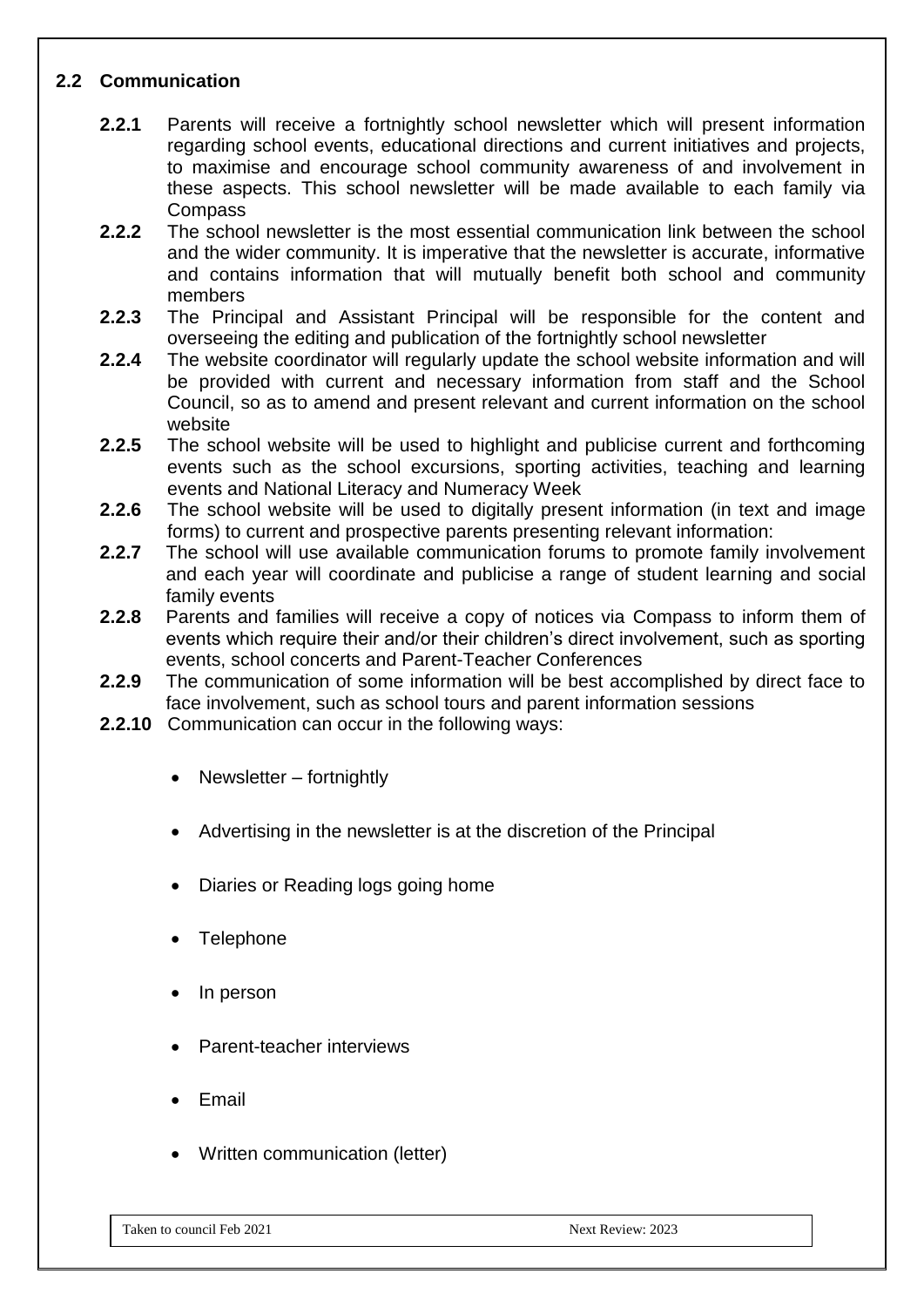#### **2.2 Communication**

- **2.2.1** Parents will receive a fortnightly school newsletter which will present information regarding school events, educational directions and current initiatives and projects, to maximise and encourage school community awareness of and involvement in these aspects. This school newsletter will be made available to each family via Compass
- **2.2.2** The school newsletter is the most essential communication link between the school and the wider community. It is imperative that the newsletter is accurate, informative and contains information that will mutually benefit both school and community members
- **2.2.3** The Principal and Assistant Principal will be responsible for the content and overseeing the editing and publication of the fortnightly school newsletter
- **2.2.4** The website coordinator will regularly update the school website information and will be provided with current and necessary information from staff and the School Council, so as to amend and present relevant and current information on the school website
- **2.2.5** The school website will be used to highlight and publicise current and forthcoming events such as the school excursions, sporting activities, teaching and learning events and National Literacy and Numeracy Week
- **2.2.6** The school website will be used to digitally present information (in text and image forms) to current and prospective parents presenting relevant information:
- **2.2.7** The school will use available communication forums to promote family involvement and each year will coordinate and publicise a range of student learning and social family events
- **2.2.8** Parents and families will receive a copy of notices via Compass to inform them of events which require their and/or their children's direct involvement, such as sporting events, school concerts and Parent-Teacher Conferences
- **2.2.9** The communication of some information will be best accomplished by direct face to face involvement, such as school tours and parent information sessions
- **2.2.10** Communication can occur in the following ways:
	- Newsletter fortnightly
	- Advertising in the newsletter is at the discretion of the Principal
	- Diaries or Reading logs going home
	- **Telephone**
	- In person
	- Parent-teacher interviews
	- **Email**
	- Written communication (letter)

Taken to council Feb 2021 and the council Feb 2021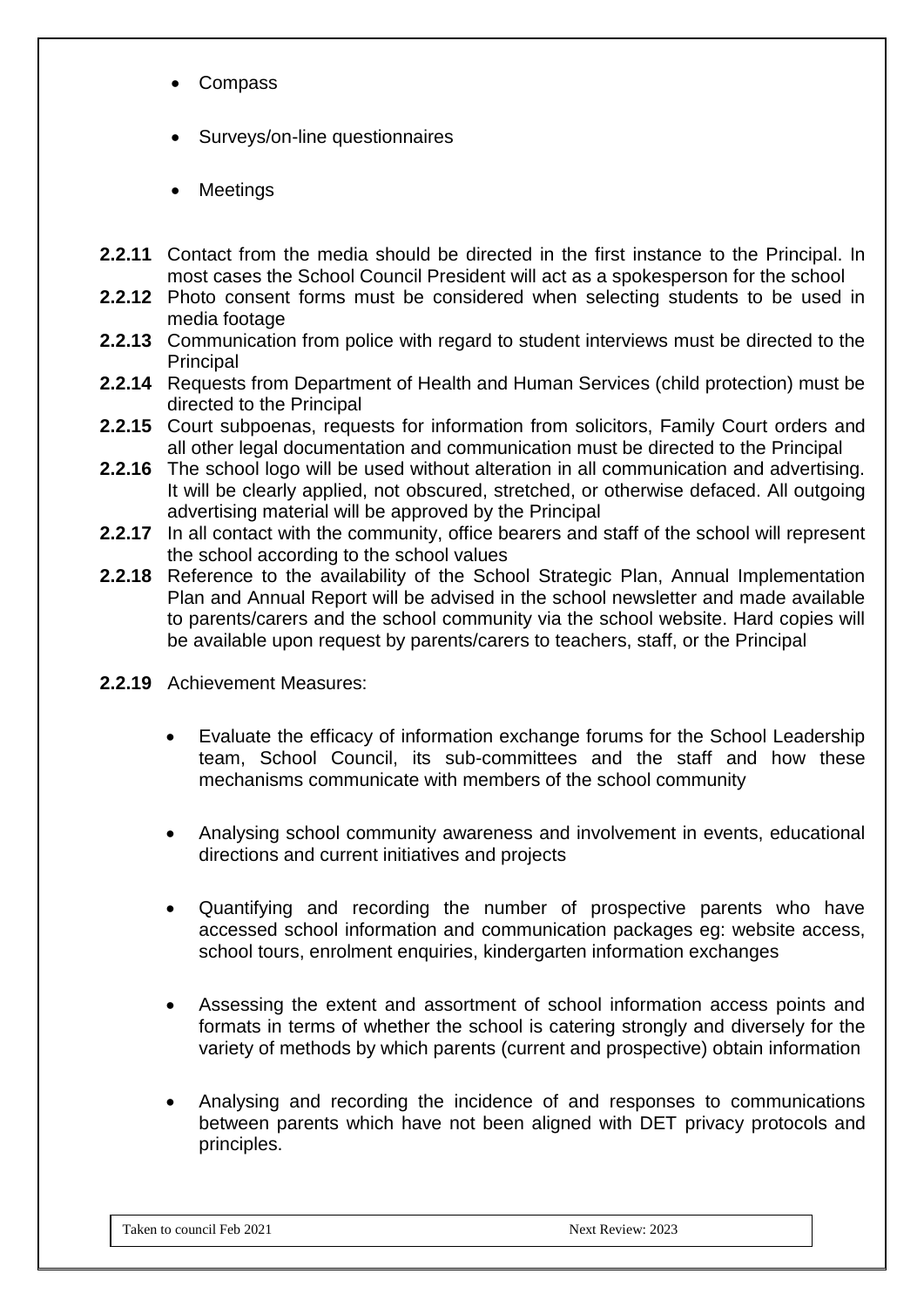- Compass
- Surveys/on-line questionnaires
- Meetings
- **2.2.11** Contact from the media should be directed in the first instance to the Principal. In most cases the School Council President will act as a spokesperson for the school
- **2.2.12** Photo consent forms must be considered when selecting students to be used in media footage
- **2.2.13** Communication from police with regard to student interviews must be directed to the **Principal**
- **2.2.14** Requests from Department of Health and Human Services (child protection) must be directed to the Principal
- **2.2.15** Court subpoenas, requests for information from solicitors, Family Court orders and all other legal documentation and communication must be directed to the Principal
- **2.2.16** The school logo will be used without alteration in all communication and advertising. It will be clearly applied, not obscured, stretched, or otherwise defaced. All outgoing advertising material will be approved by the Principal
- **2.2.17** In all contact with the community, office bearers and staff of the school will represent the school according to the school values
- **2.2.18** Reference to the availability of the School Strategic Plan, Annual Implementation Plan and Annual Report will be advised in the school newsletter and made available to parents/carers and the school community via the school website. Hard copies will be available upon request by parents/carers to teachers, staff, or the Principal
- **2.2.19** Achievement Measures:
	- Evaluate the efficacy of information exchange forums for the School Leadership team, School Council, its sub-committees and the staff and how these mechanisms communicate with members of the school community
	- Analysing school community awareness and involvement in events, educational directions and current initiatives and projects
	- Quantifying and recording the number of prospective parents who have accessed school information and communication packages eg: website access, school tours, enrolment enquiries, kindergarten information exchanges
	- Assessing the extent and assortment of school information access points and formats in terms of whether the school is catering strongly and diversely for the variety of methods by which parents (current and prospective) obtain information
	- Analysing and recording the incidence of and responses to communications between parents which have not been aligned with DET privacy protocols and principles.